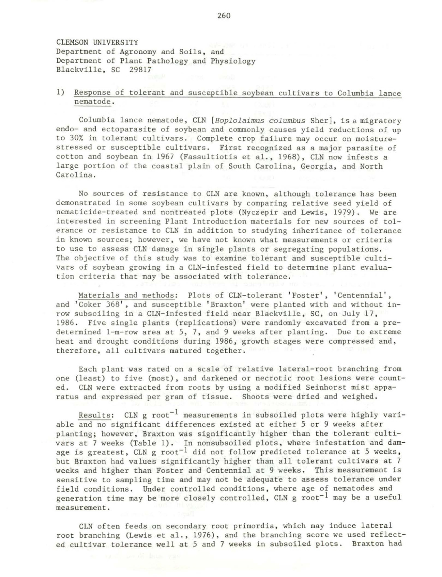CLEMSON UNIVERSITY Department of Agronomy and Soils, and Department of Plant Pathology and Physiology Blackville, SC 29817

## 1) Response of tolerant and susceptible soybean cultivars to Columbia lance nematode.

Columbia lance nematode, CLN *[Hoplolaimus columbus* Sher], is a migratory endo- and ectoparasite of soybean and commonly causes yield reductions of up to 30% in tolerant cultivars. Complete crop failure may occur on moisturestressed or susceptible cultivars. First recognized as a major parasite of cotton and soybean in 1967 (Fassultiotis et al., 1968) , CLN now infests a large portion of the coastal plain of South Carolina, Georgia, and North Carolina.

No sources of resistance to CLN are known, although tolerance has been demonstrated in some soybean cultivars by comparing relative seed yield of nematicide-treated and nontreated plots (Nyczepir and Lewis, 1979). We are interested in screening Plant Introduction materials for new sources of tolerance or resistance to CLN in addition to studying inheritance of tolerance in known sources; however, we have not known what measurements or criteria to use to assess CLN damage in single plants or segregating populations. The objective of this study was to examine tolerant and susceptible cultivars of soybean growing in a CLN-infested field to determine plant evaluation criteria that may be associated with tolerance.

Materials and methods: Plots of CLN-tolerant 'Foster', ' Centennial', and 'Coker 368', and susceptible 'Braxton' were planted with and without inrow subsoiling in a CLN-infested field near Blackville, SC, on July 17, 1986. Five single plants (replications) were randomly excavated from a predetermined 1-m-row area at 5, 7, and 9 weeks after planting. Due to extreme heat and drought conditions during 1986, growth stages were compressed and, therefore, all cultivars matured together.

Each plant was rated on a scale of relative lateral-root branching from one (least) to five (most), and darkened or necrotic root lesions were counted. CLN were extracted from roots by using a modified Seinhorst mist apparatus and expressed per gram of tissue. Shoots were dried and weighed.

Results: CLN g root<sup>-1</sup> measurements in subsoiled plots were highly variable and no significant differences existed at either 5 or 9 weeks after planting; however, Braxton was significantly higher than the tolerant cultivars at 7 weeks (Table 1). In nonsubsoiled plots, where infestation and damage is greatest, CLN g  $root^{-1}$  did not follow predicted tolerance at 5 weeks, but Braxton had values significantly higher than all tolerant cultivars at 7 weeks and higher than Foster and Centennial at 9 weeks. This measurement is sensitive to sampling time and may not be adequate to assess tolerance under field conditions. Under controlled conditions, where age of nematodes and generation time may be more closely controlled,  $CLN$  g root<sup>-1</sup> may be a useful measurement.

CLN often feeds on secondary root primordia, which may induce lateral root branching (Lewis et al., 1976), and the branching score we used reflected cultivar tolerance well at 5 and 7 weeks in subsoiled plots. Braxton had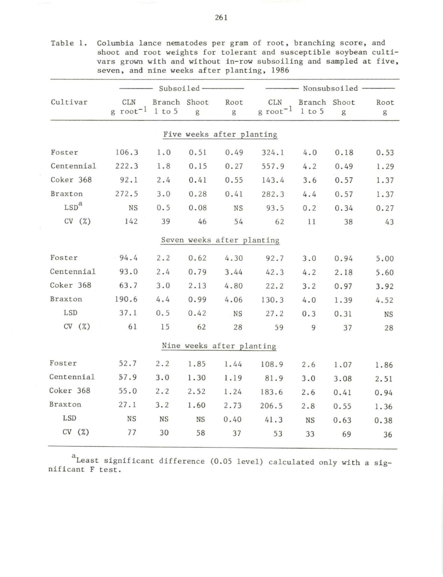|                  | Subsoiled-                  |                        |      |                            | Nonsubsoiled                  |                            |      |           |
|------------------|-----------------------------|------------------------|------|----------------------------|-------------------------------|----------------------------|------|-----------|
| Cultivar         | <b>CLN</b><br>g $root^{-1}$ | Branch Shoot<br>1 to 5 | g    | Root<br>g                  | CLN<br>$g$ root <sup>-1</sup> | Branch Shoot<br>$1$ to $5$ | g    | Root<br>g |
|                  |                             |                        |      | Five weeks after planting  |                               |                            |      |           |
| Foster           | 106.3                       | 1.0                    | 0.51 | 0.49                       | 324.1                         | 4.0                        | 0.18 | 0.53      |
| Centennial       | 222.3                       | 1.8                    | 0.15 | 0.27                       | 557.9                         | 4.2                        | 0.49 | 1.29      |
| Coker 368        | 92.1                        | 2.4                    | 0.41 | 0.55                       | 143.4                         | 3.6                        | 0.57 | 1.37      |
| Braxton          | 272.5                       | 3.0                    | 0.28 | 0.41                       | 282.3                         | 4.4                        | 0.57 | 1.37      |
| LSD <sup>a</sup> | <b>NS</b>                   | 0.5                    | 0.08 | <b>NS</b>                  | 93.5                          | 0.2                        | 0.34 | 0.27      |
| CV(%)            | 142                         | 39                     | 46   | 54                         | 62                            | 11                         | 38   | 43        |
|                  |                             |                        |      | Seven weeks after planting |                               |                            |      |           |
| Foster           | $-94.4$                     | 2.2                    | 0.62 | 4.30                       | 92.7                          | 3.0                        | 0.94 | 5.00      |
| Centennial       | 93.0                        | 2.4                    | 0.79 | 3.44                       | 42.3                          | 4.2                        | 2.18 | 5.60      |
| Coker 368        | 63.7                        | 3.0                    | 2.13 | 4.80                       | 22.2                          | 3.2                        | 0.97 | 3.92      |
| Braxton          | 190.6                       | 4.4                    | 0.99 | 4.06                       | 130.3                         | 4.0                        | 1.39 | 4.52      |
| LSD              | 37.1                        | 0.5                    | 0.42 | <b>NS</b>                  | 27.2                          | 0.3                        | 0.31 | <b>NS</b> |
| CV(%)            | 61                          | 15                     | 62   | 28                         | 59                            | 9                          | 37   | 28        |
|                  |                             |                        |      | Nine weeks after planting  |                               |                            |      |           |
| Foster           | 52.7                        | 2.2                    | 1.85 | 1.44                       | 108.9                         | 2.6                        | 1.07 | 1.86      |
| Centennial       | 57.9                        | 3.0                    | 1.30 | 1.19                       | 81.9                          | 3.0                        | 3.08 | 2.51      |
| Coker 368        | 55.0                        | 2.2                    | 2.52 | 1.24                       | 183.6                         | 2.6                        | 0.41 | 0.94      |
| <b>Braxton</b>   | 27.1                        | 3.2                    | 1.60 | 2.73                       | 206.5                         | 2.8                        | 0.55 | 1.36      |
| LSD              | <b>NS</b>                   | <b>NS</b>              | NS   | 0.40                       | 41.3                          | <b>NS</b>                  | 0.63 | 0.38      |
| CV(%)            | 77                          | 30                     | 58   | 37                         | 53                            | 33                         | 69   | 36        |
|                  |                             |                        |      |                            |                               |                            |      |           |

Table 1. Columbia lance nematodes per gram of root, branching score, and shoot and root weights for tolerant and susceptible soybean cultivars grown with and without in-row subsoiling and sampled at five, seven, and nine weeks after planting, 1986

<sup>a</sup> Least significant difference (0.05 level) calculated only with a sig-<br>nificant F test.